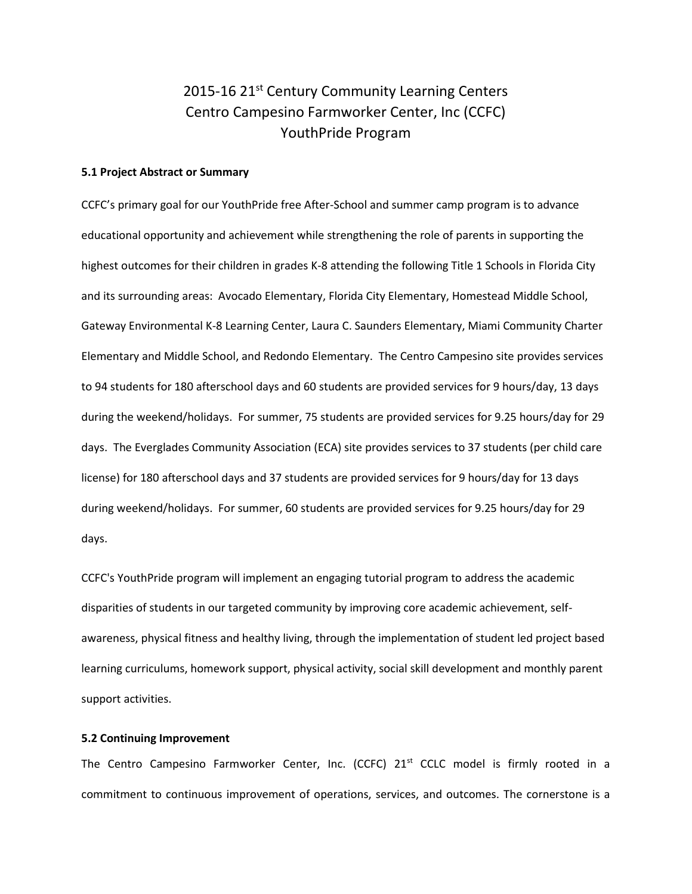# 2015-16 21<sup>st</sup> Century Community Learning Centers Centro Campesino Farmworker Center, Inc (CCFC) YouthPride Program

## **5.1 Project Abstract or Summary**

CCFC's primary goal for our YouthPride free After-School and summer camp program is to advance educational opportunity and achievement while strengthening the role of parents in supporting the highest outcomes for their children in grades K-8 attending the following Title 1 Schools in Florida City and its surrounding areas: Avocado Elementary, Florida City Elementary, Homestead Middle School, Gateway Environmental K-8 Learning Center, Laura C. Saunders Elementary, Miami Community Charter Elementary and Middle School, and Redondo Elementary. The Centro Campesino site provides services to 94 students for 180 afterschool days and 60 students are provided services for 9 hours/day, 13 days during the weekend/holidays. For summer, 75 students are provided services for 9.25 hours/day for 29 days. The Everglades Community Association (ECA) site provides services to 37 students (per child care license) for 180 afterschool days and 37 students are provided services for 9 hours/day for 13 days during weekend/holidays. For summer, 60 students are provided services for 9.25 hours/day for 29 days.

CCFC's YouthPride program will implement an engaging tutorial program to address the academic disparities of students in our targeted community by improving core academic achievement, selfawareness, physical fitness and healthy living, through the implementation of student led project based learning curriculums, homework support, physical activity, social skill development and monthly parent support activities.

# **5.2 Continuing Improvement**

The Centro Campesino Farmworker Center, Inc. (CCFC)  $21<sup>st</sup>$  CCLC model is firmly rooted in a commitment to continuous improvement of operations, services, and outcomes. The cornerstone is a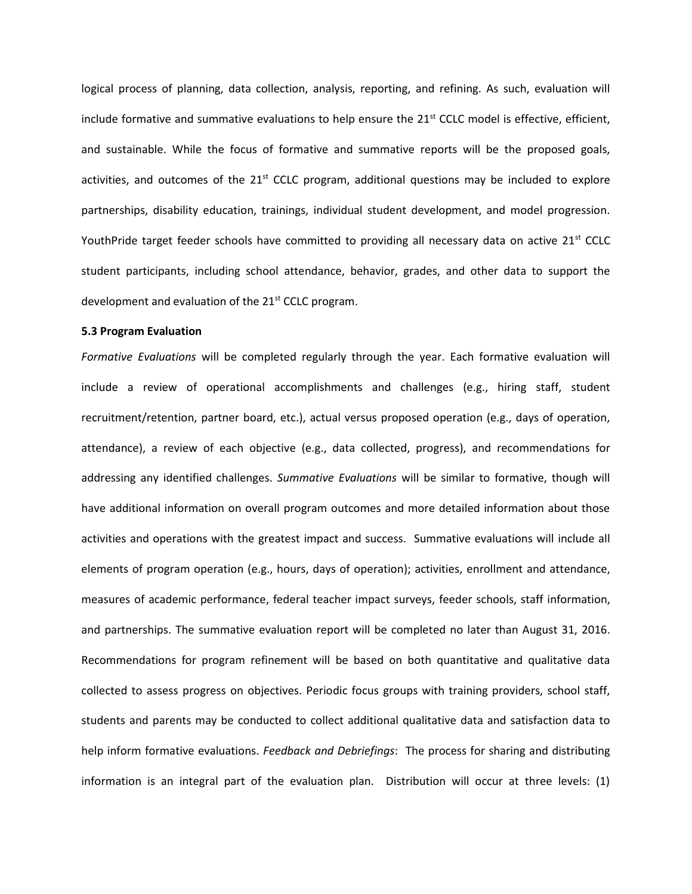logical process of planning, data collection, analysis, reporting, and refining. As such, evaluation will include formative and summative evaluations to help ensure the  $21<sup>st</sup>$  CCLC model is effective, efficient, and sustainable. While the focus of formative and summative reports will be the proposed goals, activities, and outcomes of the  $21<sup>st</sup>$  CCLC program, additional questions may be included to explore partnerships, disability education, trainings, individual student development, and model progression. YouthPride target feeder schools have committed to providing all necessary data on active  $21^{st}$  CCLC student participants, including school attendance, behavior, grades, and other data to support the development and evaluation of the  $21<sup>st</sup>$  CCLC program.

# **5.3 Program Evaluation**

*Formative Evaluations* will be completed regularly through the year. Each formative evaluation will include a review of operational accomplishments and challenges (e.g., hiring staff, student recruitment/retention, partner board, etc.), actual versus proposed operation (e.g., days of operation, attendance), a review of each objective (e.g., data collected, progress), and recommendations for addressing any identified challenges. *Summative Evaluations* will be similar to formative, though will have additional information on overall program outcomes and more detailed information about those activities and operations with the greatest impact and success. Summative evaluations will include all elements of program operation (e.g., hours, days of operation); activities, enrollment and attendance, measures of academic performance, federal teacher impact surveys, feeder schools, staff information, and partnerships. The summative evaluation report will be completed no later than August 31, 2016. Recommendations for program refinement will be based on both quantitative and qualitative data collected to assess progress on objectives. Periodic focus groups with training providers, school staff, students and parents may be conducted to collect additional qualitative data and satisfaction data to help inform formative evaluations. *Feedback and Debriefings*: The process for sharing and distributing information is an integral part of the evaluation plan. Distribution will occur at three levels: (1)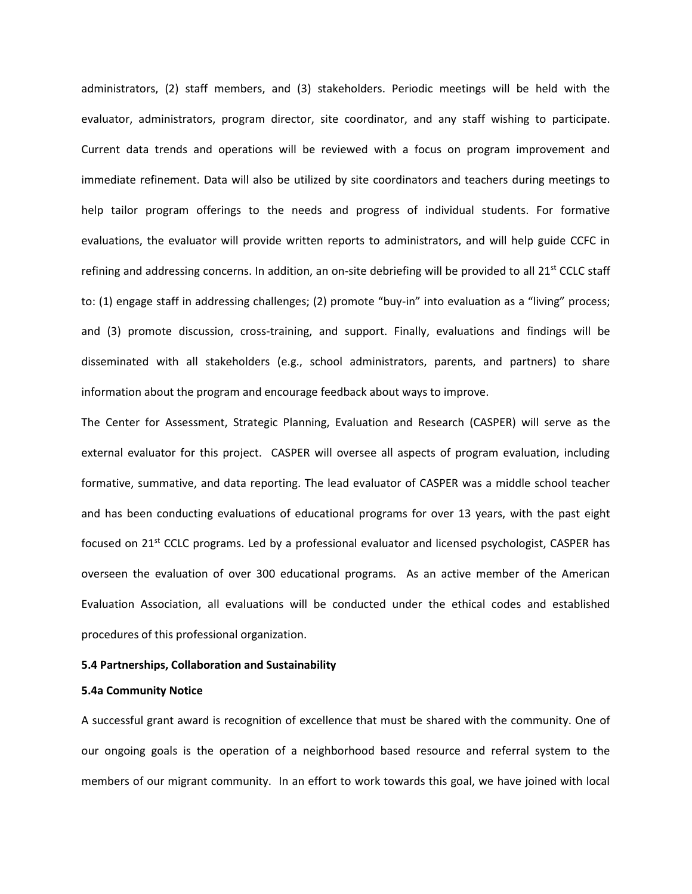administrators, (2) staff members, and (3) stakeholders. Periodic meetings will be held with the evaluator, administrators, program director, site coordinator, and any staff wishing to participate. Current data trends and operations will be reviewed with a focus on program improvement and immediate refinement. Data will also be utilized by site coordinators and teachers during meetings to help tailor program offerings to the needs and progress of individual students. For formative evaluations, the evaluator will provide written reports to administrators, and will help guide CCFC in refining and addressing concerns. In addition, an on-site debriefing will be provided to all  $21^{st}$  CCLC staff to: (1) engage staff in addressing challenges; (2) promote "buy-in" into evaluation as a "living" process; and (3) promote discussion, cross-training, and support. Finally, evaluations and findings will be disseminated with all stakeholders (e.g., school administrators, parents, and partners) to share information about the program and encourage feedback about ways to improve.

The Center for Assessment, Strategic Planning, Evaluation and Research (CASPER) will serve as the external evaluator for this project. CASPER will oversee all aspects of program evaluation, including formative, summative, and data reporting. The lead evaluator of CASPER was a middle school teacher and has been conducting evaluations of educational programs for over 13 years, with the past eight focused on 21<sup>st</sup> CCLC programs. Led by a professional evaluator and licensed psychologist, CASPER has overseen the evaluation of over 300 educational programs. As an active member of the American Evaluation Association, all evaluations will be conducted under the ethical codes and established procedures of this professional organization.

# **5.4 Partnerships, Collaboration and Sustainability**

#### **5.4a Community Notice**

A successful grant award is recognition of excellence that must be shared with the community. One of our ongoing goals is the operation of a neighborhood based resource and referral system to the members of our migrant community. In an effort to work towards this goal, we have joined with local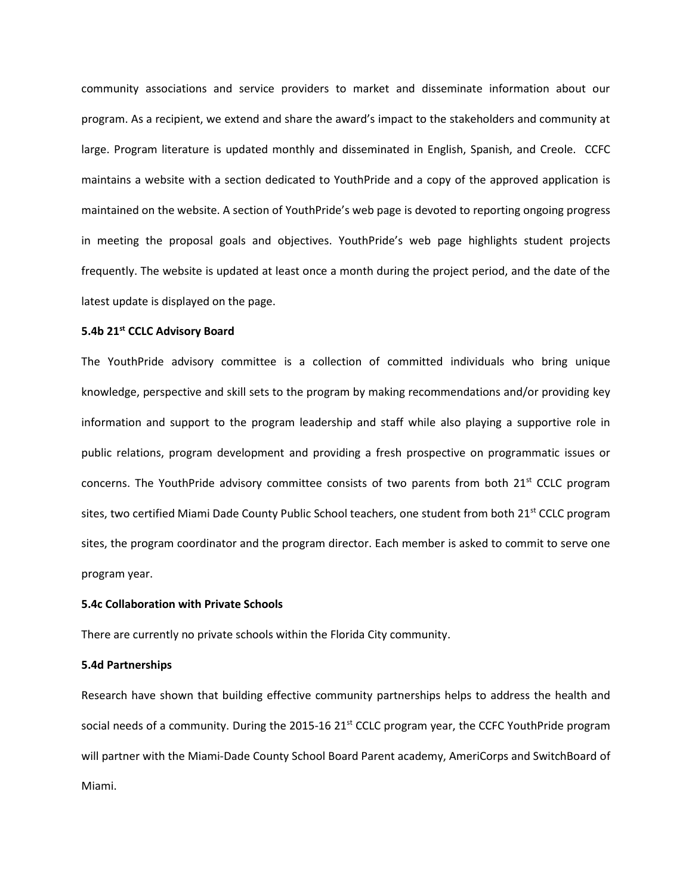community associations and service providers to market and disseminate information about our program. As a recipient, we extend and share the award's impact to the stakeholders and community at large. Program literature is updated monthly and disseminated in English, Spanish, and Creole. CCFC maintains a website with a section dedicated to YouthPride and a copy of the approved application is maintained on the website. A section of YouthPride's web page is devoted to reporting ongoing progress in meeting the proposal goals and objectives. YouthPride's web page highlights student projects frequently. The website is updated at least once a month during the project period, and the date of the latest update is displayed on the page.

# **5.4b 21st CCLC Advisory Board**

The YouthPride advisory committee is a collection of committed individuals who bring unique knowledge, perspective and skill sets to the program by making recommendations and/or providing key information and support to the program leadership and staff while also playing a supportive role in public relations, program development and providing a fresh prospective on programmatic issues or concerns. The YouthPride advisory committee consists of two parents from both  $21^{st}$  CCLC program sites, two certified Miami Dade County Public School teachers, one student from both 21<sup>st</sup> CCLC program sites, the program coordinator and the program director. Each member is asked to commit to serve one program year.

# **5.4c Collaboration with Private Schools**

There are currently no private schools within the Florida City community.

# **5.4d Partnerships**

Research have shown that building effective community partnerships helps to address the health and social needs of a community. During the 2015-16 21 $<sup>st</sup>$  CCLC program year, the CCFC YouthPride program</sup> will partner with the Miami-Dade County School Board Parent academy, AmeriCorps and SwitchBoard of Miami.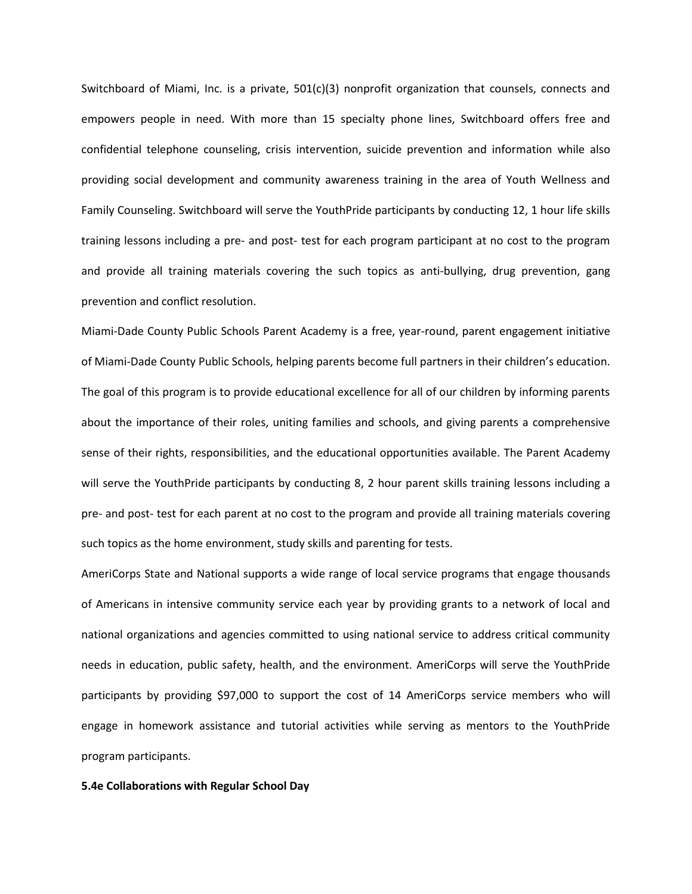Switchboard of Miami, Inc. is a private, 501(c)(3) nonprofit organization that counsels, connects and empowers people in need. With more than 15 specialty phone lines, Switchboard offers free and confidential telephone counseling, crisis intervention, suicide prevention and information while also providing social development and community awareness training in the area of Youth Wellness and Family Counseling. Switchboard will serve the YouthPride participants by conducting 12, 1 hour life skills training lessons including a pre- and post- test for each program participant at no cost to the program and provide all training materials covering the such topics as anti-bullying, drug prevention, gang prevention and conflict resolution.

Miami-Dade County Public Schools Parent Academy is a free, year-round, parent engagement initiative of Miami-Dade County Public Schools, helping parents become full partners in their children's education. The goal of this program is to provide educational excellence for all of our children by informing parents about the importance of their roles, uniting families and schools, and giving parents a comprehensive sense of their rights, responsibilities, and the educational opportunities available. The Parent Academy will serve the YouthPride participants by conducting 8, 2 hour parent skills training lessons including a pre- and post- test for each parent at no cost to the program and provide all training materials covering such topics as the home environment, study skills and parenting for tests.

AmeriCorps State and National supports a wide range of local service programs that engage thousands of Americans in intensive community service each year by providing grants to a network of local and national organizations and agencies committed to using national service to address critical community needs in education, public safety, health, and the environment. AmeriCorps will serve the YouthPride participants by providing \$97,000 to support the cost of 14 AmeriCorps service members who will engage in homework assistance and tutorial activities while serving as mentors to the YouthPride program participants.

#### **5.4e Collaborations with Regular School Day**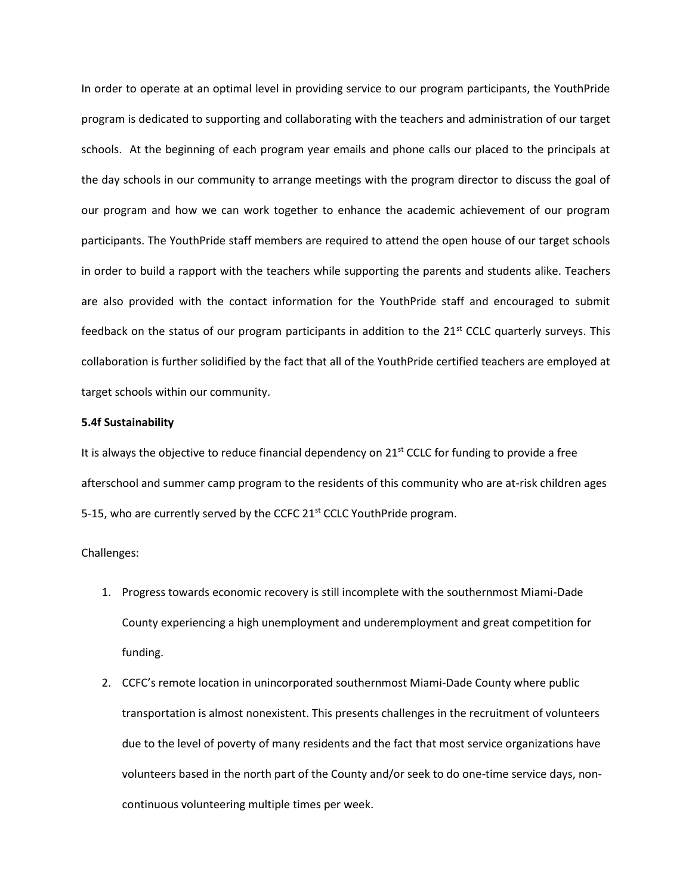In order to operate at an optimal level in providing service to our program participants, the YouthPride program is dedicated to supporting and collaborating with the teachers and administration of our target schools. At the beginning of each program year emails and phone calls our placed to the principals at the day schools in our community to arrange meetings with the program director to discuss the goal of our program and how we can work together to enhance the academic achievement of our program participants. The YouthPride staff members are required to attend the open house of our target schools in order to build a rapport with the teachers while supporting the parents and students alike. Teachers are also provided with the contact information for the YouthPride staff and encouraged to submit feedback on the status of our program participants in addition to the  $21^{st}$  CCLC quarterly surveys. This collaboration is further solidified by the fact that all of the YouthPride certified teachers are employed at target schools within our community.

## **5.4f Sustainability**

It is always the objective to reduce financial dependency on 21<sup>st</sup> CCLC for funding to provide a free afterschool and summer camp program to the residents of this community who are at-risk children ages 5-15, who are currently served by the CCFC 21 $\mathrm{st}$  CCLC YouthPride program.

# Challenges:

- 1. Progress towards economic recovery is still incomplete with the southernmost Miami-Dade County experiencing a high unemployment and underemployment and great competition for funding.
- 2. CCFC's remote location in unincorporated southernmost Miami-Dade County where public transportation is almost nonexistent. This presents challenges in the recruitment of volunteers due to the level of poverty of many residents and the fact that most service organizations have volunteers based in the north part of the County and/or seek to do one-time service days, noncontinuous volunteering multiple times per week.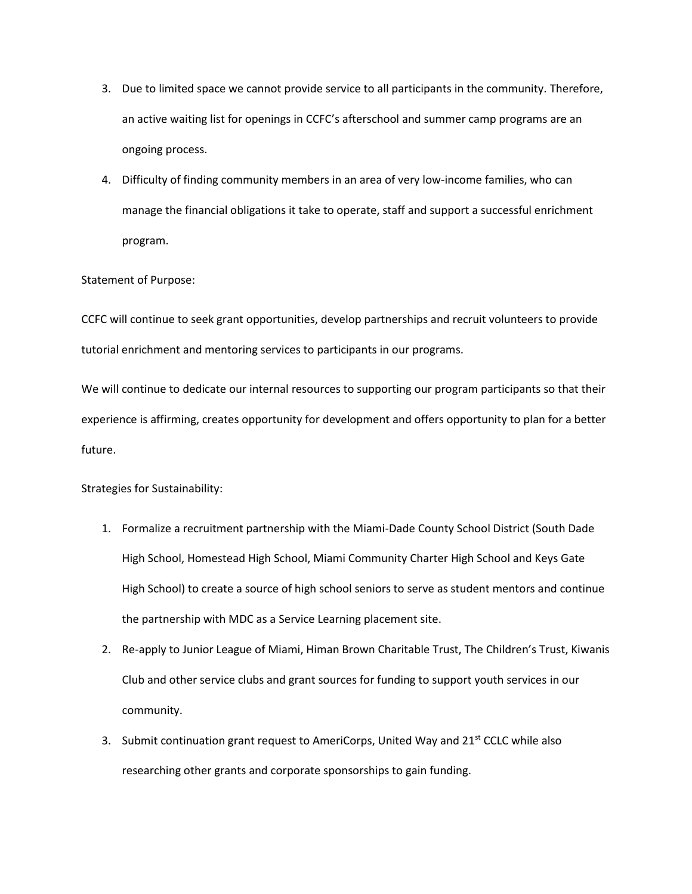- 3. Due to limited space we cannot provide service to all participants in the community. Therefore, an active waiting list for openings in CCFC's afterschool and summer camp programs are an ongoing process.
- 4. Difficulty of finding community members in an area of very low-income families, who can manage the financial obligations it take to operate, staff and support a successful enrichment program.

# Statement of Purpose:

CCFC will continue to seek grant opportunities, develop partnerships and recruit volunteers to provide tutorial enrichment and mentoring services to participants in our programs.

We will continue to dedicate our internal resources to supporting our program participants so that their experience is affirming, creates opportunity for development and offers opportunity to plan for a better future.

Strategies for Sustainability:

- 1. Formalize a recruitment partnership with the Miami-Dade County School District (South Dade High School, Homestead High School, Miami Community Charter High School and Keys Gate High School) to create a source of high school seniors to serve as student mentors and continue the partnership with MDC as a Service Learning placement site.
- 2. Re-apply to Junior League of Miami, Himan Brown Charitable Trust, The Children's Trust, Kiwanis Club and other service clubs and grant sources for funding to support youth services in our community.
- 3. Submit continuation grant request to AmeriCorps, United Way and  $21<sup>st</sup>$  CCLC while also researching other grants and corporate sponsorships to gain funding.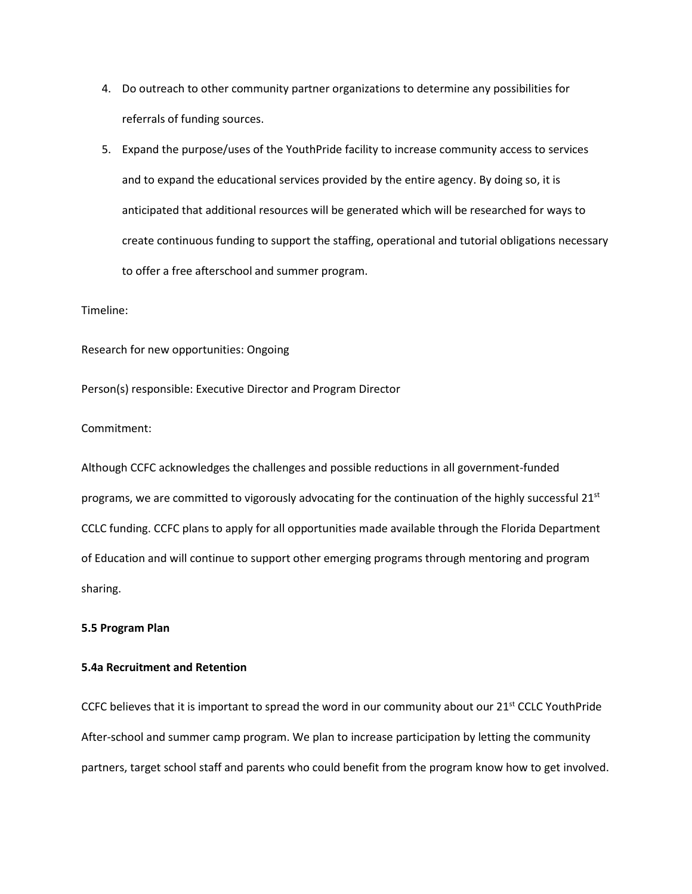- 4. Do outreach to other community partner organizations to determine any possibilities for referrals of funding sources.
- 5. Expand the purpose/uses of the YouthPride facility to increase community access to services and to expand the educational services provided by the entire agency. By doing so, it is anticipated that additional resources will be generated which will be researched for ways to create continuous funding to support the staffing, operational and tutorial obligations necessary to offer a free afterschool and summer program.

## Timeline:

Research for new opportunities: Ongoing

Person(s) responsible: Executive Director and Program Director

# Commitment:

Although CCFC acknowledges the challenges and possible reductions in all government-funded programs, we are committed to vigorously advocating for the continuation of the highly successful  $21<sup>st</sup>$ CCLC funding. CCFC plans to apply for all opportunities made available through the Florida Department of Education and will continue to support other emerging programs through mentoring and program sharing.

# **5.5 Program Plan**

# **5.4a Recruitment and Retention**

CCFC believes that it is important to spread the word in our community about our  $21^{st}$  CCLC YouthPride After-school and summer camp program. We plan to increase participation by letting the community partners, target school staff and parents who could benefit from the program know how to get involved.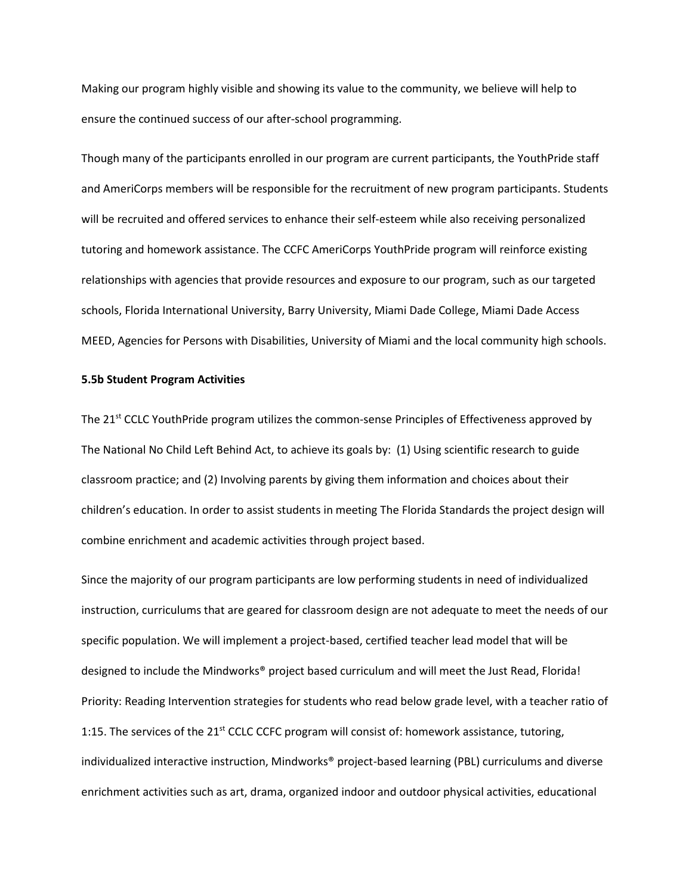Making our program highly visible and showing its value to the community, we believe will help to ensure the continued success of our after-school programming.

Though many of the participants enrolled in our program are current participants, the YouthPride staff and AmeriCorps members will be responsible for the recruitment of new program participants. Students will be recruited and offered services to enhance their self-esteem while also receiving personalized tutoring and homework assistance. The CCFC AmeriCorps YouthPride program will reinforce existing relationships with agencies that provide resources and exposure to our program, such as our targeted schools, Florida International University, Barry University, Miami Dade College, Miami Dade Access MEED, Agencies for Persons with Disabilities, University of Miami and the local community high schools.

## **5.5b Student Program Activities**

The 21<sup>st</sup> CCLC YouthPride program utilizes the common-sense Principles of Effectiveness approved by The National No Child Left Behind Act, to achieve its goals by: (1) Using scientific research to guide classroom practice; and (2) Involving parents by giving them information and choices about their children's education. In order to assist students in meeting The Florida Standards the project design will combine enrichment and academic activities through project based.

Since the majority of our program participants are low performing students in need of individualized instruction, curriculums that are geared for classroom design are not adequate to meet the needs of our specific population. We will implement a project-based, certified teacher lead model that will be designed to include the Mindworks® project based curriculum and will meet the Just Read, Florida! Priority: Reading Intervention strategies for students who read below grade level, with a teacher ratio of 1:15. The services of the 21<sup>st</sup> CCLC CCFC program will consist of: homework assistance, tutoring, individualized interactive instruction, Mindworks® project-based learning (PBL) curriculums and diverse enrichment activities such as art, drama, organized indoor and outdoor physical activities, educational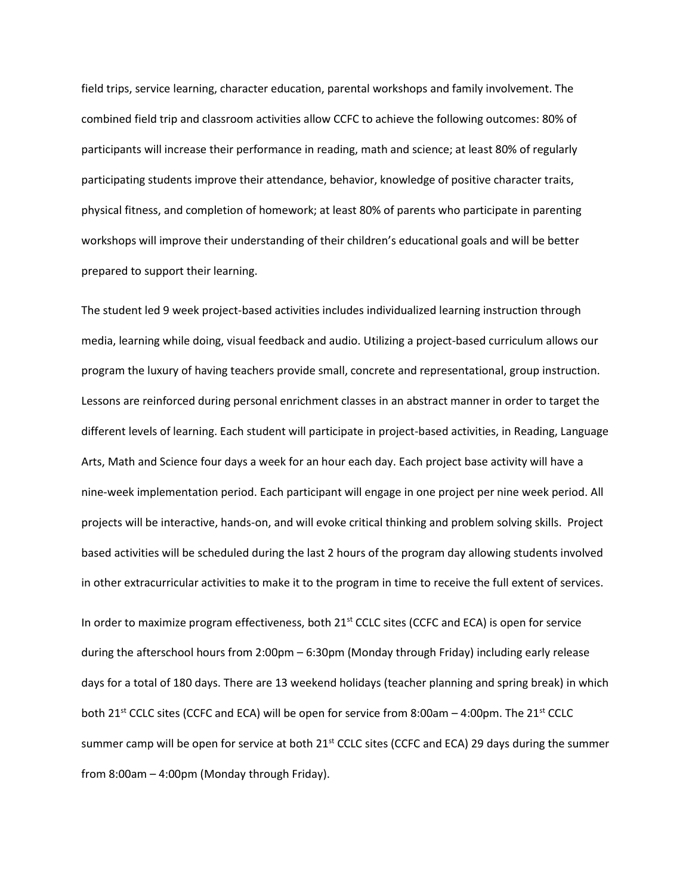field trips, service learning, character education, parental workshops and family involvement. The combined field trip and classroom activities allow CCFC to achieve the following outcomes: 80% of participants will increase their performance in reading, math and science; at least 80% of regularly participating students improve their attendance, behavior, knowledge of positive character traits, physical fitness, and completion of homework; at least 80% of parents who participate in parenting workshops will improve their understanding of their children's educational goals and will be better prepared to support their learning.

The student led 9 week project-based activities includes individualized learning instruction through media, learning while doing, visual feedback and audio. Utilizing a project-based curriculum allows our program the luxury of having teachers provide small, concrete and representational, group instruction. Lessons are reinforced during personal enrichment classes in an abstract manner in order to target the different levels of learning. Each student will participate in project-based activities, in Reading, Language Arts, Math and Science four days a week for an hour each day. Each project base activity will have a nine-week implementation period. Each participant will engage in one project per nine week period. All projects will be interactive, hands-on, and will evoke critical thinking and problem solving skills. Project based activities will be scheduled during the last 2 hours of the program day allowing students involved in other extracurricular activities to make it to the program in time to receive the full extent of services.

In order to maximize program effectiveness, both  $21<sup>st</sup>$  CCLC sites (CCFC and ECA) is open for service during the afterschool hours from 2:00pm – 6:30pm (Monday through Friday) including early release days for a total of 180 days. There are 13 weekend holidays (teacher planning and spring break) in which both 21<sup>st</sup> CCLC sites (CCFC and ECA) will be open for service from 8:00am  $-$  4:00pm. The 21<sup>st</sup> CCLC summer camp will be open for service at both 21<sup>st</sup> CCLC sites (CCFC and ECA) 29 days during the summer from 8:00am – 4:00pm (Monday through Friday).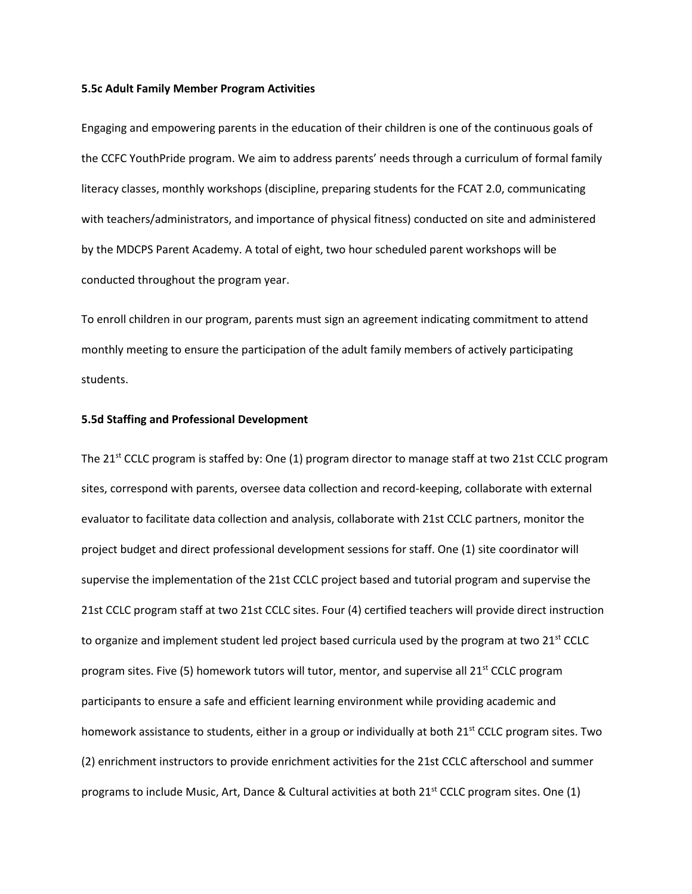#### **5.5c Adult Family Member Program Activities**

Engaging and empowering parents in the education of their children is one of the continuous goals of the CCFC YouthPride program. We aim to address parents' needs through a curriculum of formal family literacy classes, monthly workshops (discipline, preparing students for the FCAT 2.0, communicating with teachers/administrators, and importance of physical fitness) conducted on site and administered by the MDCPS Parent Academy. A total of eight, two hour scheduled parent workshops will be conducted throughout the program year.

To enroll children in our program, parents must sign an agreement indicating commitment to attend monthly meeting to ensure the participation of the adult family members of actively participating students.

## **5.5d Staffing and Professional Development**

The 21<sup>st</sup> CCLC program is staffed by: One (1) program director to manage staff at two 21st CCLC program sites, correspond with parents, oversee data collection and record-keeping, collaborate with external evaluator to facilitate data collection and analysis, collaborate with 21st CCLC partners, monitor the project budget and direct professional development sessions for staff. One (1) site coordinator will supervise the implementation of the 21st CCLC project based and tutorial program and supervise the 21st CCLC program staff at two 21st CCLC sites. Four (4) certified teachers will provide direct instruction to organize and implement student led project based curricula used by the program at two  $21^{st}$  CCLC program sites. Five (5) homework tutors will tutor, mentor, and supervise all 21<sup>st</sup> CCLC program participants to ensure a safe and efficient learning environment while providing academic and homework assistance to students, either in a group or individually at both 21<sup>st</sup> CCLC program sites. Two (2) enrichment instructors to provide enrichment activities for the 21st CCLC afterschool and summer programs to include Music, Art, Dance & Cultural activities at both  $21<sup>st</sup>$  CCLC program sites. One (1)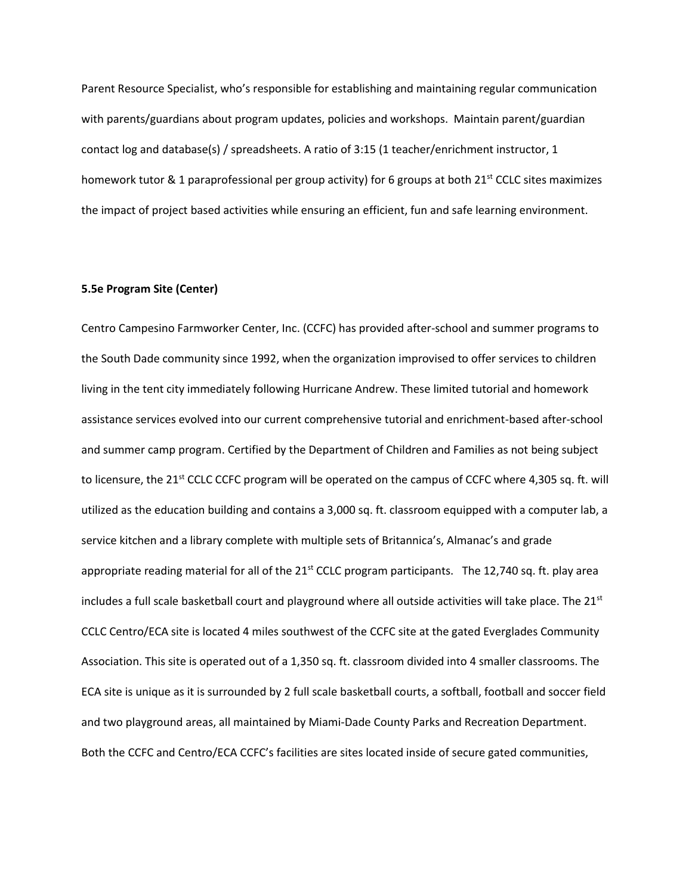Parent Resource Specialist, who's responsible for establishing and maintaining regular communication with parents/guardians about program updates, policies and workshops. Maintain parent/guardian contact log and database(s) / spreadsheets. A ratio of 3:15 (1 teacher/enrichment instructor, 1 homework tutor & 1 paraprofessional per group activity) for 6 groups at both 21<sup>st</sup> CCLC sites maximizes the impact of project based activities while ensuring an efficient, fun and safe learning environment.

#### **5.5e Program Site (Center)**

Centro Campesino Farmworker Center, Inc. (CCFC) has provided after-school and summer programs to the South Dade community since 1992, when the organization improvised to offer services to children living in the tent city immediately following Hurricane Andrew. These limited tutorial and homework assistance services evolved into our current comprehensive tutorial and enrichment-based after-school and summer camp program. Certified by the Department of Children and Families as not being subject to licensure, the 21<sup>st</sup> CCLC CCFC program will be operated on the campus of CCFC where 4,305 sq. ft. will utilized as the education building and contains a 3,000 sq. ft. classroom equipped with a computer lab, a service kitchen and a library complete with multiple sets of Britannica's, Almanac's and grade appropriate reading material for all of the  $21<sup>st</sup>$  CCLC program participants. The 12,740 sq. ft. play area includes a full scale basketball court and playground where all outside activities will take place. The  $21<sup>st</sup>$ CCLC Centro/ECA site is located 4 miles southwest of the CCFC site at the gated Everglades Community Association. This site is operated out of a 1,350 sq. ft. classroom divided into 4 smaller classrooms. The ECA site is unique as it is surrounded by 2 full scale basketball courts, a softball, football and soccer field and two playground areas, all maintained by Miami-Dade County Parks and Recreation Department. Both the CCFC and Centro/ECA CCFC's facilities are sites located inside of secure gated communities,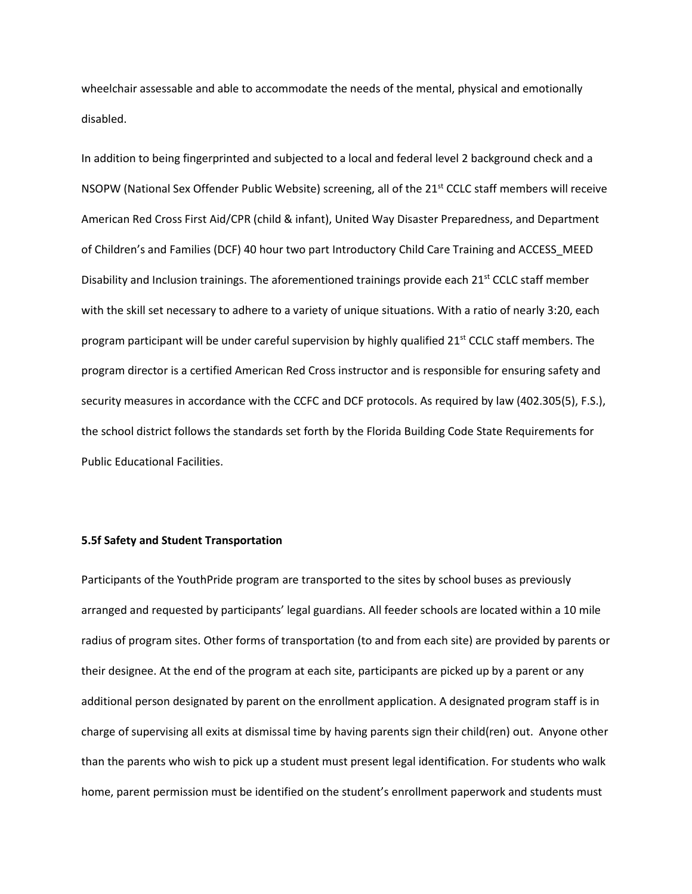wheelchair assessable and able to accommodate the needs of the mental, physical and emotionally disabled.

In addition to being fingerprinted and subjected to a local and federal level 2 background check and a NSOPW (National Sex Offender Public Website) screening, all of the 21<sup>st</sup> CCLC staff members will receive American Red Cross First Aid/CPR (child & infant), United Way Disaster Preparedness, and Department of Children's and Families (DCF) 40 hour two part Introductory Child Care Training and ACCESS\_MEED Disability and Inclusion trainings. The aforementioned trainings provide each  $21^{st}$  CCLC staff member with the skill set necessary to adhere to a variety of unique situations. With a ratio of nearly 3:20, each program participant will be under careful supervision by highly qualified  $21<sup>st</sup>$  CCLC staff members. The program director is a certified American Red Cross instructor and is responsible for ensuring safety and security measures in accordance with the CCFC and DCF protocols. As required by law (402.305(5), F.S.), the school district follows the standards set forth by the Florida Building Code State Requirements for Public Educational Facilities.

# **5.5f Safety and Student Transportation**

Participants of the YouthPride program are transported to the sites by school buses as previously arranged and requested by participants' legal guardians. All feeder schools are located within a 10 mile radius of program sites. Other forms of transportation (to and from each site) are provided by parents or their designee. At the end of the program at each site, participants are picked up by a parent or any additional person designated by parent on the enrollment application. A designated program staff is in charge of supervising all exits at dismissal time by having parents sign their child(ren) out. Anyone other than the parents who wish to pick up a student must present legal identification. For students who walk home, parent permission must be identified on the student's enrollment paperwork and students must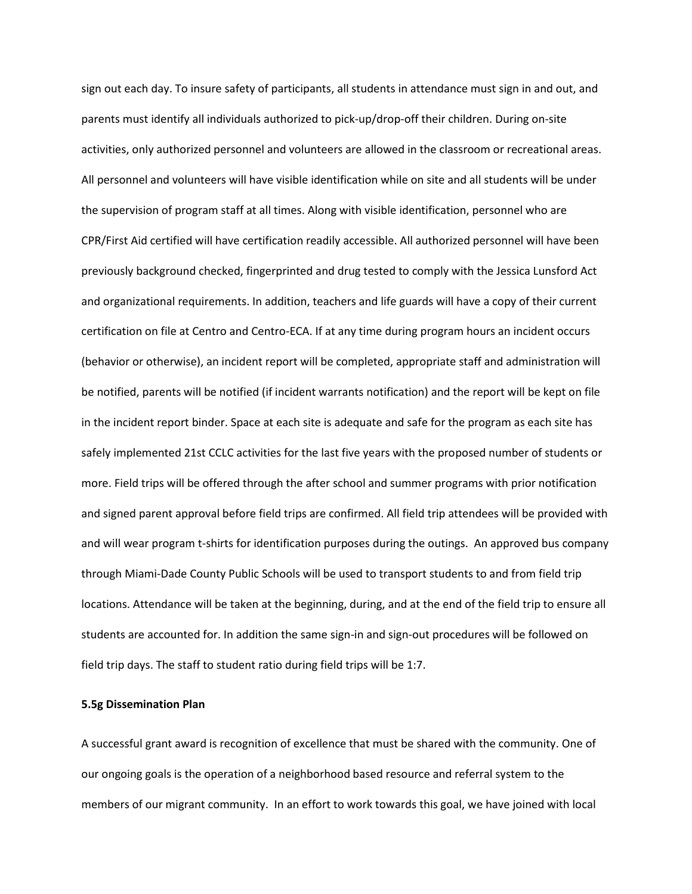sign out each day. To insure safety of participants, all students in attendance must sign in and out, and parents must identify all individuals authorized to pick-up/drop-off their children. During on-site activities, only authorized personnel and volunteers are allowed in the classroom or recreational areas. All personnel and volunteers will have visible identification while on site and all students will be under the supervision of program staff at all times. Along with visible identification, personnel who are CPR/First Aid certified will have certification readily accessible. All authorized personnel will have been previously background checked, fingerprinted and drug tested to comply with the Jessica Lunsford Act and organizational requirements. In addition, teachers and life guards will have a copy of their current certification on file at Centro and Centro-ECA. If at any time during program hours an incident occurs (behavior or otherwise), an incident report will be completed, appropriate staff and administration will be notified, parents will be notified (if incident warrants notification) and the report will be kept on file in the incident report binder. Space at each site is adequate and safe for the program as each site has safely implemented 21st CCLC activities for the last five years with the proposed number of students or more. Field trips will be offered through the after school and summer programs with prior notification and signed parent approval before field trips are confirmed. All field trip attendees will be provided with and will wear program t-shirts for identification purposes during the outings. An approved bus company through Miami-Dade County Public Schools will be used to transport students to and from field trip locations. Attendance will be taken at the beginning, during, and at the end of the field trip to ensure all students are accounted for. In addition the same sign-in and sign-out procedures will be followed on field trip days. The staff to student ratio during field trips will be 1:7.

# **5.5g Dissemination Plan**

A successful grant award is recognition of excellence that must be shared with the community. One of our ongoing goals is the operation of a neighborhood based resource and referral system to the members of our migrant community. In an effort to work towards this goal, we have joined with local